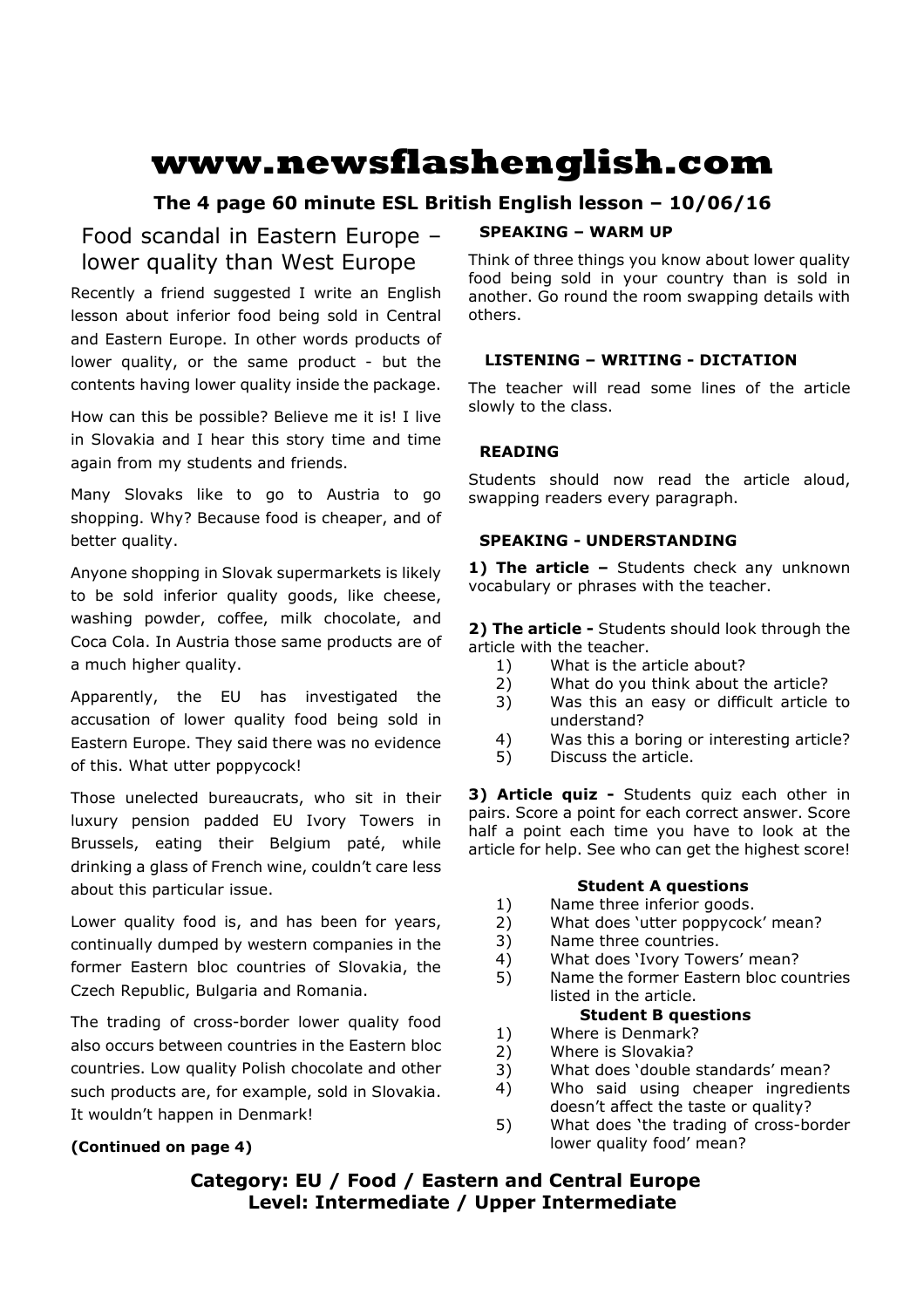# **www.newsflashenglish.com**

# **The 4 page 60 minute ESL British English lesson – 10/06/16**

# Food scandal in Eastern Europe – lower quality than West Europe

Recently a friend suggested I write an English lesson about inferior food being sold in Central and Eastern Europe. In other words products of lower quality, or the same product - but the contents having lower quality inside the package.

How can this be possible? Believe me it is! I live in Slovakia and I hear this story time and time again from my students and friends.

Many Slovaks like to go to Austria to go shopping. Why? Because food is cheaper, and of better quality.

Anyone shopping in Slovak supermarkets is likely to be sold inferior quality goods, like cheese, washing powder, coffee, milk chocolate, and Coca Cola. In Austria those same products are of a much higher quality.

Apparently, the EU has investigated the accusation of lower quality food being sold in Eastern Europe. They said there was no evidence of this. What utter poppycock!

Those unelected bureaucrats, who sit in their luxury pension padded EU Ivory Towers in Brussels, eating their Belgium paté, while drinking a glass of French wine, couldn't care less about this particular issue.

Lower quality food is, and has been for years, continually dumped by western companies in the former Eastern bloc countries of Slovakia, the Czech Republic, Bulgaria and Romania.

The trading of cross-border lower quality food also occurs between countries in the Eastern bloc countries. Low quality Polish chocolate and other such products are, for example, sold in Slovakia. It wouldn't happen in Denmark!

# **(Continued on page 4)**

# **SPEAKING – WARM UP**

Think of three things you know about lower quality food being sold in your country than is sold in another. Go round the room swapping details with others.

# **LISTENING – WRITING - DICTATION**

The teacher will read some lines of the article slowly to the class.

# **READING**

Students should now read the article aloud, swapping readers every paragraph.

# **SPEAKING - UNDERSTANDING**

1) The article - Students check any unknown vocabulary or phrases with the teacher.

**2) The article -** Students should look through the article with the teacher.

- 1) What is the article about?
- 2) What do you think about the article?
- 3) Was this an easy or difficult article to understand?
- 4) Was this a boring or interesting article?
- 5) Discuss the article.

**3) Article quiz -** Students quiz each other in pairs. Score a point for each correct answer. Score half a point each time you have to look at the article for help. See who can get the highest score!

# **Student A questions**

- 1) Name three inferior goods.
- 2) What does 'utter poppycock' mean?
- 3) Name three countries.
- 4) What does 'Ivory Towers' mean?
- 5) Name the former Eastern bloc countries listed in the article.

# **Student B questions**

- 1) Where is Denmark?
- 2) Where is Slovakia?
- 3) What does 'double standards' mean?
- 4) Who said using cheaper ingredients doesn't affect the taste or quality?
- 5) What does 'the trading of cross-border lower quality food' mean?

# **Category: EU / Food / Eastern and Central Europe Level: Intermediate / Upper Intermediate**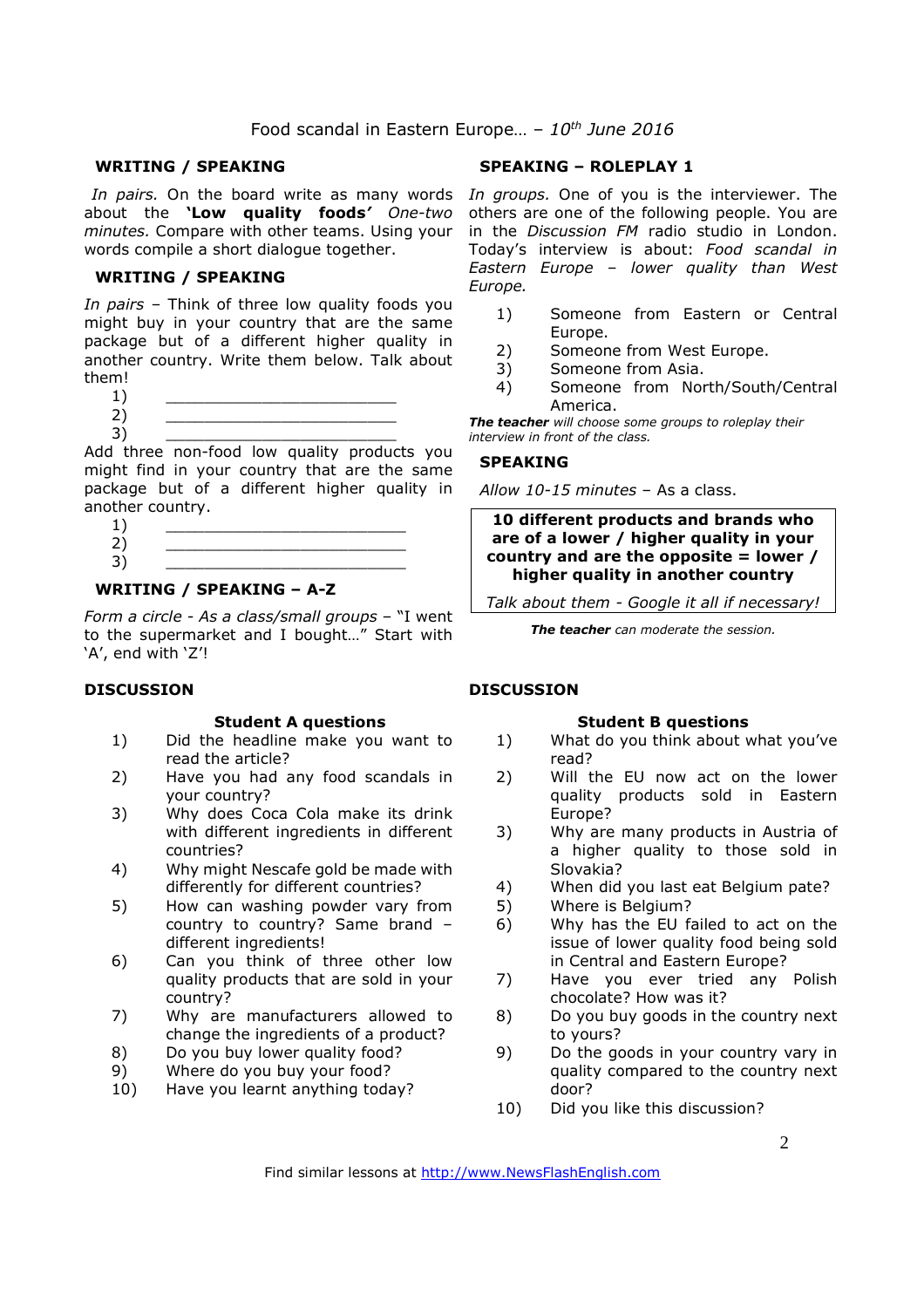# Food scandal in Eastern Europe… – *10th June 2016*

#### **WRITING / SPEAKING**

about the **'Low quality foods***' One-two minutes.* Compare with other teams. Using your words compile a short dialogue together.

#### **WRITING / SPEAKING**

*In pairs* – Think of three low quality foods you might buy in your country that are the same package but of a different higher quality in another country. Write them below. Talk about them!

- 
- $1)$   $\qquad \qquad$ 2) \_\_\_\_\_\_\_\_\_\_\_\_\_\_\_\_\_\_\_\_\_\_\_\_

3) \_\_\_\_\_\_\_\_\_\_\_\_\_\_\_\_\_\_\_\_\_\_\_\_

Add three non-food low quality products you might find in your country that are the same package but of a different higher quality in another country.

# **WRITING / SPEAKING – A-Z**

*Form a circle - As a class/small groups* – "I went to the supermarket and I bought…" Start with 'A', end with 'Z'!

#### **DISCUSSION**

#### **Student A questions**

- 1) Did the headline make you want to read the article?
- 2) Have you had any food scandals in your country?
- 3) Why does Coca Cola make its drink with different ingredients in different countries?
- 4) Why might Nescafe gold be made with differently for different countries?
- 5) How can washing powder vary from country to country? Same brand – different ingredients!
- 6) Can you think of three other low quality products that are sold in your country?
- 7) Why are manufacturers allowed to change the ingredients of a product?
- 8) Do you buy lower quality food?
- 9) Where do you buy your food?
- 10) Have you learnt anything today?

# **SPEAKING – ROLEPLAY 1**

In pairs. On the board write as many words In groups. One of you is the interviewer. The others are one of the following people. You are in the *Discussion FM* radio studio in London. Today's interview is about: *Food scandal in Eastern Europe – lower quality than West Europe.* 

- 1) Someone from Eastern or Central Europe.
- 2) Someone from West Europe.
- 3) Someone from Asia.
- 4) Someone from North/South/Central America.

*The teacher will choose some groups to roleplay their interview in front of the class.* 

#### **SPEAKING**

*Allow 10-15 minutes* – As a class.

**10 different products and brands who are of a lower / higher quality in your country and are the opposite = lower / higher quality in another country**

*Talk about them - Google it all if necessary!*

*The teacher can moderate the session.*

#### **DISCUSSION**

#### **Student B questions**

- 1) What do you think about what you've read?
- 2) Will the EU now act on the lower quality products sold in Eastern Europe?
- 3) Why are many products in Austria of a higher quality to those sold in Slovakia?
- 4) When did you last eat Belgium pate?
- 5) Where is Belgium?
- 6) Why has the EU failed to act on the issue of lower quality food being sold in Central and Eastern Europe?
- 7) Have you ever tried any Polish chocolate? How was it?
- 8) Do you buy goods in the country next to yours?
- 9) Do the goods in your country vary in quality compared to the country next door?
- 10) Did you like this discussion?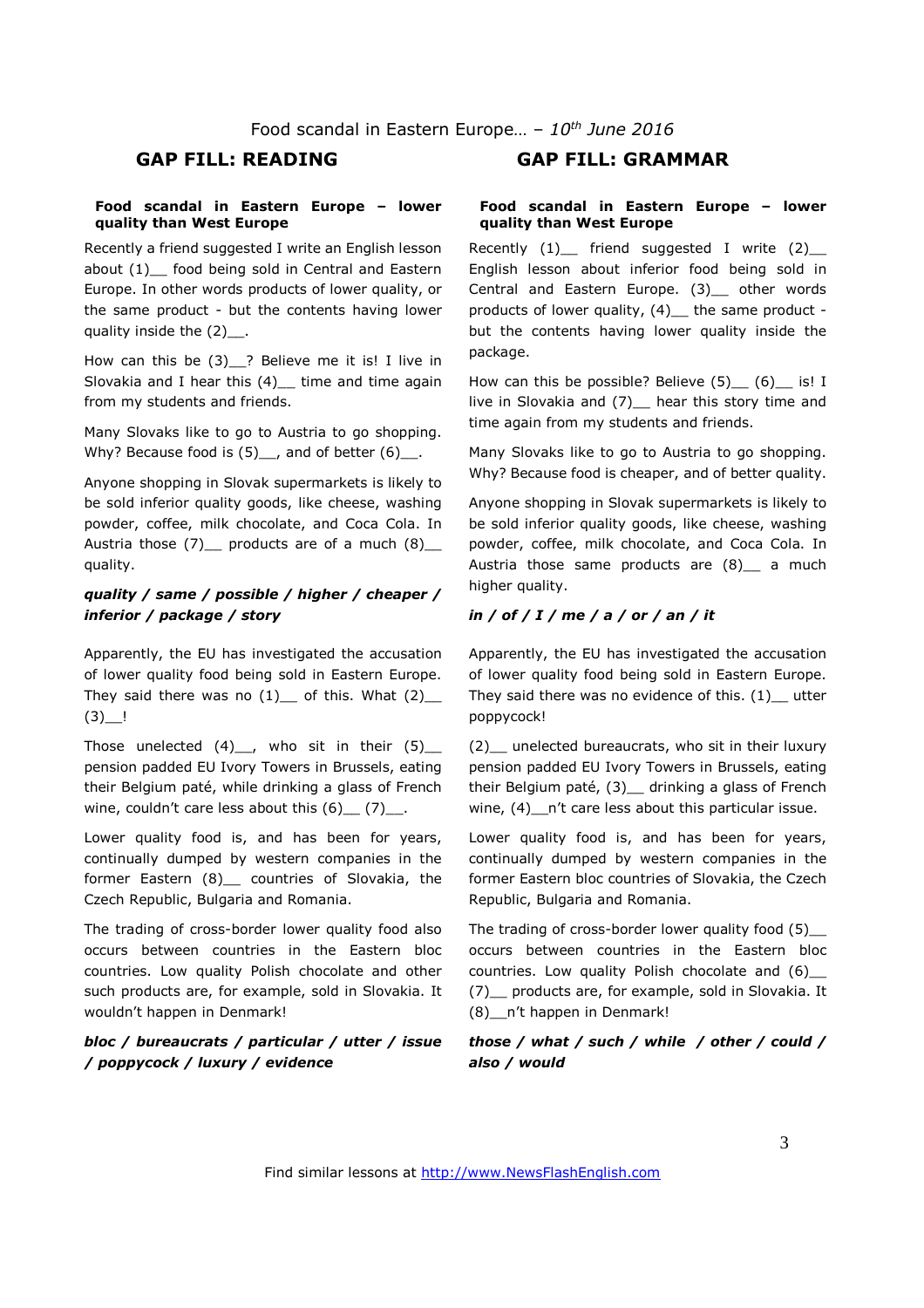#### **Food scandal in Eastern Europe – lower quality than West Europe**

Recently a friend suggested I write an English lesson about (1)\_\_ food being sold in Central and Eastern Europe. In other words products of lower quality, or the same product - but the contents having lower quality inside the  $(2)$ .

How can this be (3)\_\_? Believe me it is! I live in Slovakia and I hear this  $(4)$  time and time again from my students and friends.

Many Slovaks like to go to Austria to go shopping. Why? Because food is  $(5)$ , and of better  $(6)$ .

Anyone shopping in Slovak supermarkets is likely to be sold inferior quality goods, like cheese, washing powder, coffee, milk chocolate, and Coca Cola. In Austria those  $(7)$  products are of a much  $(8)$ quality.

# *quality / same / possible / higher / cheaper / inferior / package / story*

Apparently, the EU has investigated the accusation of lower quality food being sold in Eastern Europe. They said there was no  $(1)$  of this. What  $(2)$  $(3)$   $\frac{1}{2}$ 

Those unelected  $(4)$ , who sit in their  $(5)$ pension padded EU Ivory Towers in Brussels, eating their Belgium paté, while drinking a glass of French wine, couldn't care less about this  $(6)$   $(7)$ .

Lower quality food is, and has been for years, continually dumped by western companies in the former Eastern (8)\_\_ countries of Slovakia, the Czech Republic, Bulgaria and Romania.

The trading of cross-border lower quality food also occurs between countries in the Eastern bloc countries. Low quality Polish chocolate and other such products are, for example, sold in Slovakia. It wouldn't happen in Denmark!

# *bloc / bureaucrats / particular / utter / issue / poppycock / luxury / evidence*

# **GAP FILL: READING GAP FILL: GRAMMAR**

#### **Food scandal in Eastern Europe – lower quality than West Europe**

Recently  $(1)$  friend suggested I write  $(2)$ English lesson about inferior food being sold in Central and Eastern Europe. (3)\_\_ other words products of lower quality, (4)\_ the same product but the contents having lower quality inside the package.

How can this be possible? Believe  $(5)$   $(6)$  is! I live in Slovakia and (7) hear this story time and time again from my students and friends.

Many Slovaks like to go to Austria to go shopping. Why? Because food is cheaper, and of better quality.

Anyone shopping in Slovak supermarkets is likely to be sold inferior quality goods, like cheese, washing powder, coffee, milk chocolate, and Coca Cola. In Austria those same products are (8) a much higher quality.

#### *in / of / I / me / a / or / an / it*

Apparently, the EU has investigated the accusation of lower quality food being sold in Eastern Europe. They said there was no evidence of this.  $(1)$  utter poppycock!

(2)\_\_ unelected bureaucrats, who sit in their luxury pension padded EU Ivory Towers in Brussels, eating their Belgium paté, (3)\_\_ drinking a glass of French wine, (4) \_\_ n't care less about this particular issue.

Lower quality food is, and has been for years, continually dumped by western companies in the former Eastern bloc countries of Slovakia, the Czech Republic, Bulgaria and Romania.

The trading of cross-border lower quality food (5)\_\_ occurs between countries in the Eastern bloc countries. Low quality Polish chocolate and (6)\_\_ (7)\_\_ products are, for example, sold in Slovakia. It (8)\_\_n't happen in Denmark!

### *those / what / such / while / other / could / also / would*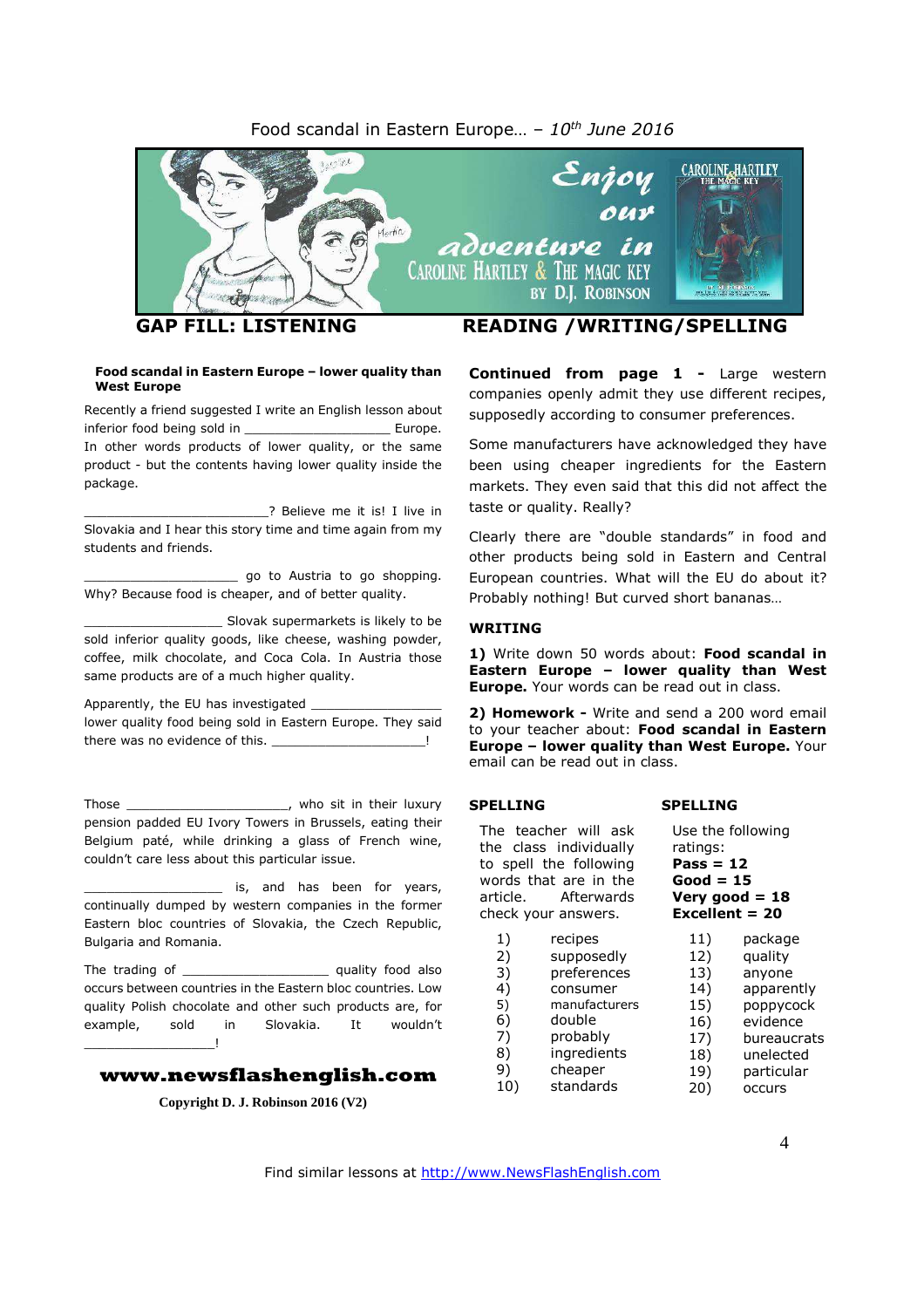# Food scandal in Eastern Europe… – *10 th June 2016*



#### **Food scandal in Eastern Europe – lower quality than West Europe**

Recently a friend suggested I write an English lesson about inferior food being sold in \_\_\_\_\_\_\_\_\_\_\_\_\_\_\_\_\_\_\_\_\_\_\_\_\_ Europe. In other words products of lower quality, or the same product - but the contents having lower quality inside the package.

\_\_\_\_\_\_\_\_\_\_\_\_\_\_\_\_\_\_\_\_\_\_\_\_? Believe me it is! I live in Slovakia and I hear this story time and time again from my students and friends.

\_\_\_\_\_\_\_\_\_\_\_\_\_\_\_\_\_\_\_\_ go to Austria to go shopping. Why? Because food is cheaper, and of better quality.

\_\_\_\_\_\_\_\_\_\_\_\_\_\_\_\_\_\_ Slovak supermarkets is likely to be sold inferior quality goods, like cheese, washing powder, coffee, milk chocolate, and Coca Cola. In Austria those same products are of a much higher quality.

Apparently, the EU has investigated

lower quality food being sold in Eastern Europe. They said there was no evidence of this.

Those \_\_\_\_\_\_\_\_\_\_\_\_\_\_\_\_\_\_\_\_\_, who sit in their luxury pension padded EU Ivory Towers in Brussels, eating their Belgium paté, while drinking a glass of French wine, couldn't care less about this particular issue.

\_\_\_\_\_\_\_\_\_\_\_\_\_\_\_\_\_\_ is, and has been for years, continually dumped by western companies in the former Eastern bloc countries of Slovakia, the Czech Republic, Bulgaria and Romania.

The trading of The trading of  $\qquad \qquad$  quality food also occurs between countries in the Eastern bloc countries. Low quality Polish chocolate and other such products are, for example, sold in Slovakia. It wouldn't \_\_\_\_\_\_\_\_\_\_\_\_\_\_\_\_\_!

#### **www.newsflashenglish.com**

**Copyright D. J. Robinson 2016 (V2)**

**Continued from page 1 -** Large western companies openly admit they use different recipes, supposedly according to consumer preferences.

Some manufacturers have acknowledged they have been using cheaper ingredients for the Eastern markets. They even said that this did not affect the taste or quality. Really?

Clearly there are "double standards" in food and other products being sold in Eastern and Central European countries. What will the EU do about it? Probably nothing! But curved short bananas…

#### **WRITING**

**1)** Write down 50 words about: **Food scandal in Eastern Europe – lower quality than West Europe.** Your words can be read out in class.

**2) Homework -** Write and send a 200 word email to your teacher about: **Food scandal in Eastern Europe – lower quality than West Europe.** Your email can be read out in class.

**SPELLING**

#### **SPELLING**

The teacher will ask the class individually to spell the following words that are in the article. Afterwards check your answers. 1) recipes 2) supposedly 3) preferences 4) consumer<br>5) manufactur 5) manufacturers 6) double 7) probably Use the following ratings: **Pass = 12 Good = 15**

8) ingredients 9) cheaper

10) standards

**Very good = 18 Excellent = 20** 11) package 12) quality 13) anyone 14) apparently 15) poppycock 16) evidence<br>17) bureaucr **bureaucrats** 18) unelected 19) particular

20) occurs

Find similar lessons at http://www.NewsFlashEnglish.com